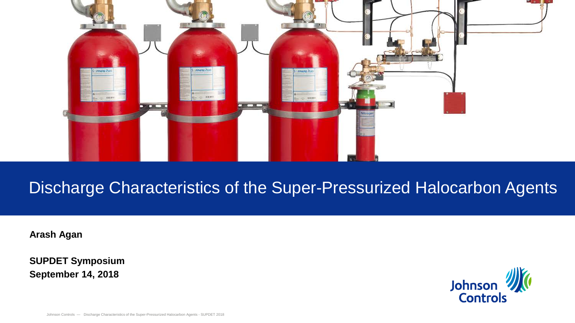

# Discharge Characteristics of the Super-Pressurized Halocarbon Agents

**Arash Agan**

**SUPDET Symposium September 14, 2018**

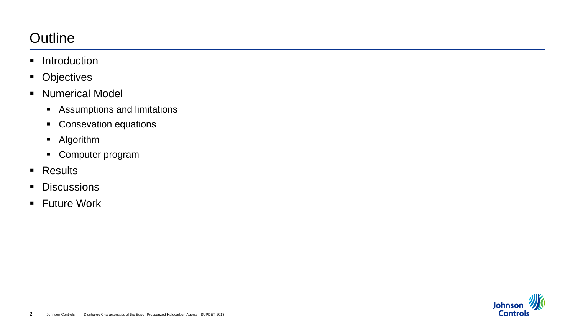## **Outline**

- **Introduction**
- **-** Objectives
- **Numerical Model** 
	- Assumptions and limitations
	- **Consevation equations**
	- Algorithm
	- Computer program
- **Results**
- **Discussions**
- **Future Work**

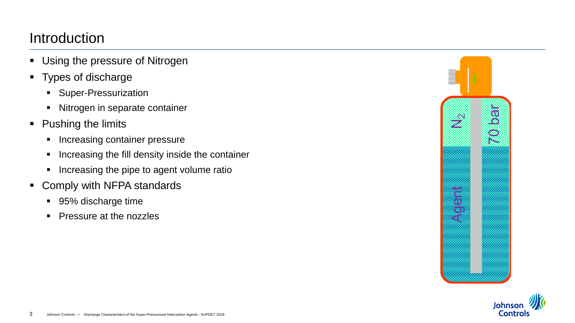### Introduction

- Using the pressure of Nitrogen
- Types of discharge
	- **Super-Pressurization**
	- Nitrogen in separate container
- Pushing the limits
	- **Increasing container pressure**
	- **Increasing the fill density inside the container**
	- **If** Increasing the pipe to agent volume ratio
- Comply with NFPA standards
	- 95% discharge time
	- **Pressure at the nozzles**



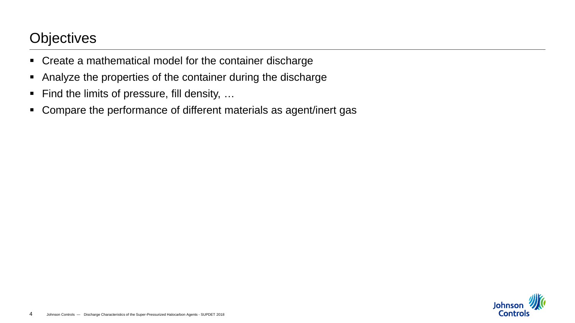### **Objectives**

- Create a mathematical model for the container discharge
- Analyze the properties of the container during the discharge
- Find the limits of pressure, fill density, ...
- Compare the performance of different materials as agent/inert gas

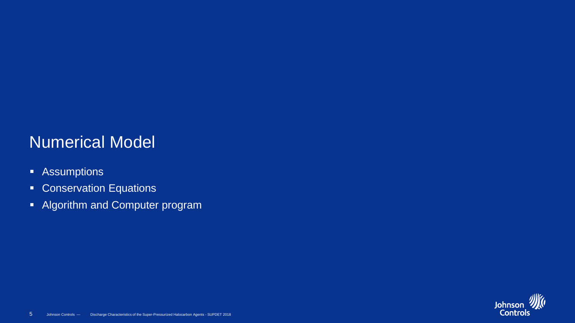# Numerical Model

- **-** Assumptions
- **Conservation Equations**
- **Algorithm and Computer program**

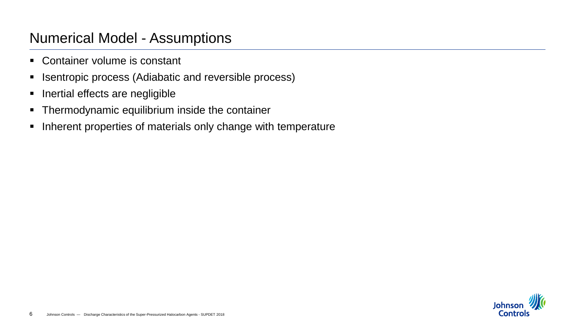### Numerical Model - Assumptions

- Container volume is constant
- **EX Isentropic process (Adiabatic and reversible process)**
- **Inertial effects are negligible**
- **Thermodynamic equilibrium inside the container**
- **Inherent properties of materials only change with temperature**

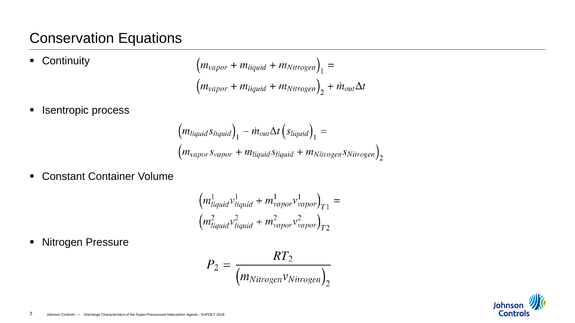### Conservation Equations

**-** Continuity

$$
\left(m_{vapor} + m_{liquid} + m_{Nitrogen}\right)_1 =
$$
\n
$$
\left(m_{vapor} + m_{liquid} + m_{Nitrogen}\right)_2 + \dot{m}_{out}\Delta t
$$

**ISENT ISENT PROCESS** 

$$
(m_{liquid}S_{liquid})_1 - \dot{m}_{out} \Delta t (S_{liquid})_1 =
$$
  

$$
(m_{vapor}S_{vapor} + m_{liquid}S_{liquid} + m_{Nitrogen}S_{Nitrogen})_2
$$

Constant Container Volume

$$
\left(m_{liquid}^{1}v_{liquid}^{1} + m_{vapor}^{1}v_{vapor}^{1}\right)_{T1} =
$$

$$
\left(m_{liquid}^{2}v_{liquid}^{2} + m_{vapor}^{2}v_{vapor}^{2}\right)_{T2}
$$

**Nitrogen Pressure** 

$$
P_2 = \frac{RT_2}{(m_{Nitrogen}v_{Nitrogen})_2}
$$

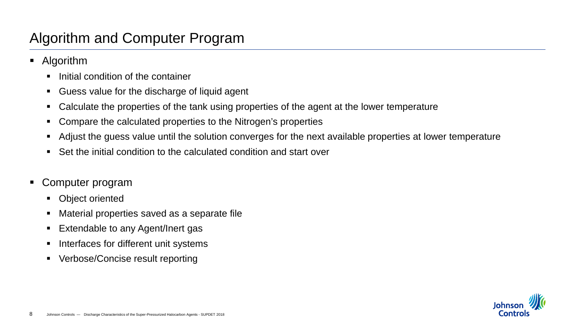### Algorithm and Computer Program

- Algorithm
	- $\blacksquare$  Initial condition of the container
	- Guess value for the discharge of liquid agent
	- Calculate the properties of the tank using properties of the agent at the lower temperature
	- Compare the calculated properties to the Nitrogen's properties
	- Adjust the guess value until the solution converges for the next available properties at lower temperature
	- Set the initial condition to the calculated condition and start over
- Computer program
	- Object oriented
	- Material properties saved as a separate file
	- Extendable to any Agent/Inert gas
	- Interfaces for different unit systems
	- Verbose/Concise result reporting

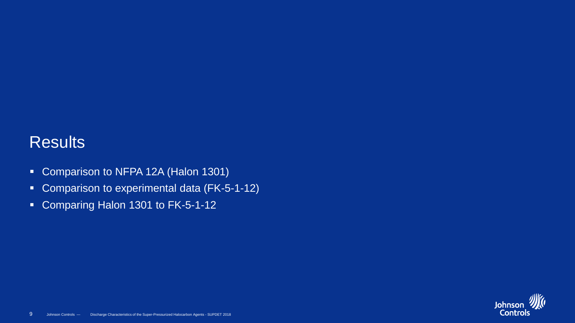## **Results**

- **Comparison to NFPA 12A (Halon 1301)**
- **Comparison to experimental data (FK-5-1-12)**
- **Comparing Halon 1301 to FK-5-1-12**

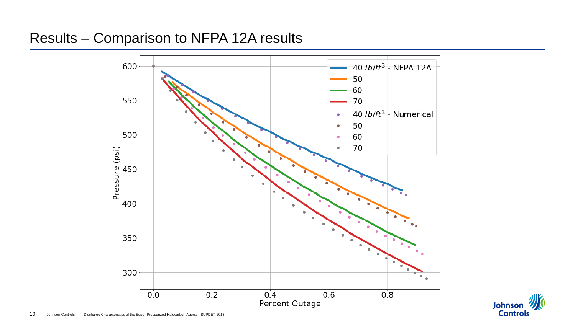### Results – Comparison to NFPA 12A results



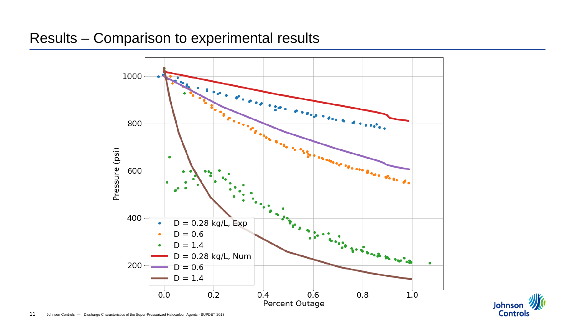#### Results – Comparison to experimental results



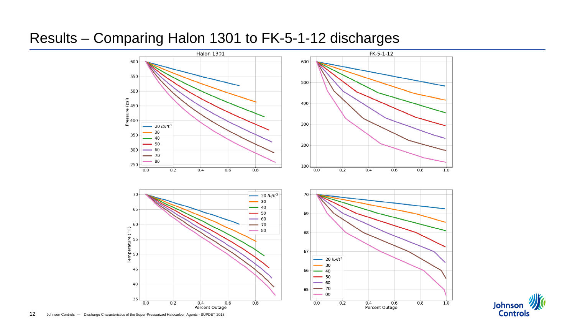#### Results – Comparing Halon 1301 to FK-5-1-12 discharges



Johnson **//** 

**Controls**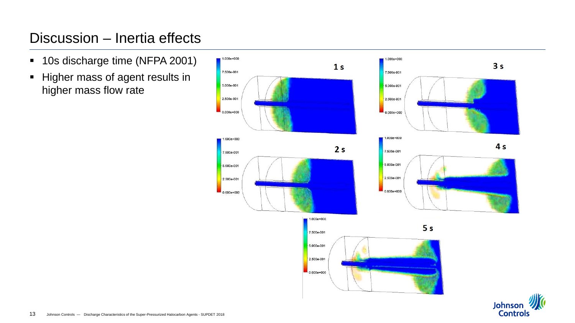### Discussion – Inertia effects

- **10s discharge time (NFPA 2001)**
- **Higher mass of agent results in** higher mass flow rate



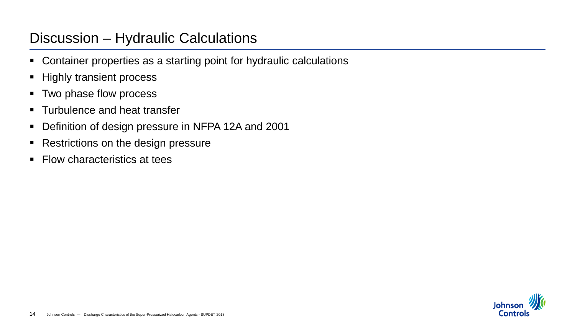### Discussion – Hydraulic Calculations

- Container properties as a starting point for hydraulic calculations
- **Highly transient process**
- **Two phase flow process**
- **Turbulence and heat transfer**
- Definition of design pressure in NFPA 12A and 2001
- Restrictions on the design pressure
- Flow characteristics at tees

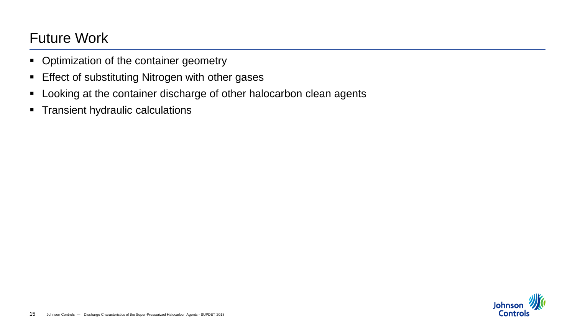## Future Work

- Optimization of the container geometry
- **Effect of substituting Nitrogen with other gases**
- **-** Looking at the container discharge of other halocarbon clean agents
- **Transient hydraulic calculations**